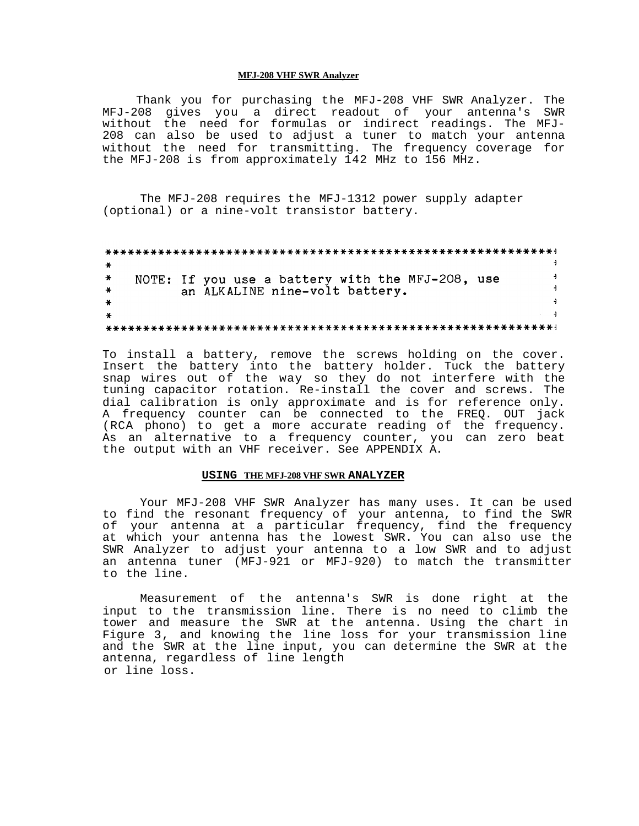#### **MFJ-208 VHF SWR Analyzer**

Thank you for purchasing the MFJ-208 VHF SWR Analyzer. The MFJ-208 gives you a direct readout of your antenna's SWR without the need for formulas or indirect readings. The MFJ-208 can also be used to adjust a tuner to match your antenna without the need for transmitting. The frequency coverage for the MFJ-208 is from approximately 142 MHz to 156 MHz.

The MFJ-208 requires the MFJ-1312 power supply adapter (optional) or a nine-volt transistor battery.

NOTE: If you use a battery with the MFJ-208, use  $\overline{a}$  $\ast$  $\overline{4}$ an ALKALINE nine-volt battery.  $\overline{1}$  $\overline{4}$ 

To install a battery, remove the screws holding on the cover. Insert the battery into the battery holder. Tuck the battery snap wires out of the way so they do not interfere with the tuning capacitor rotation. Re-install the cover and screws. The dial calibration is only approximate and is for reference only. A frequency counter can be connected to the FREQ. OUT jack (RCA phono) to get a more accurate reading of the frequency. As an alternative to a frequency counter, you can zero beat the output with an VHF receiver. See APPENDIX A.

#### **USING THE MFJ-208 VHF SWR ANALYZER**

Your MFJ-208 VHF SWR Analyzer has many uses. It can be used to find the resonant frequency of your antenna, to find the SWR of your antenna at a particular frequency, find the frequency at which your antenna has the lowest SWR. You can also use the SWR Analyzer to adjust your antenna to a low SWR and to adjust an antenna tuner (MFJ-921 or MFJ-920) to match the transmitter to the line.

Measurement of the antenna's SWR is done right at the input to the transmission line. There is no need to climb the tower and measure the SWR at the antenna. Using the chart in Figure 3, and knowing the line loss for your transmission line and the SWR at the line input, you can determine the SWR at the antenna, regardless of line length or line loss.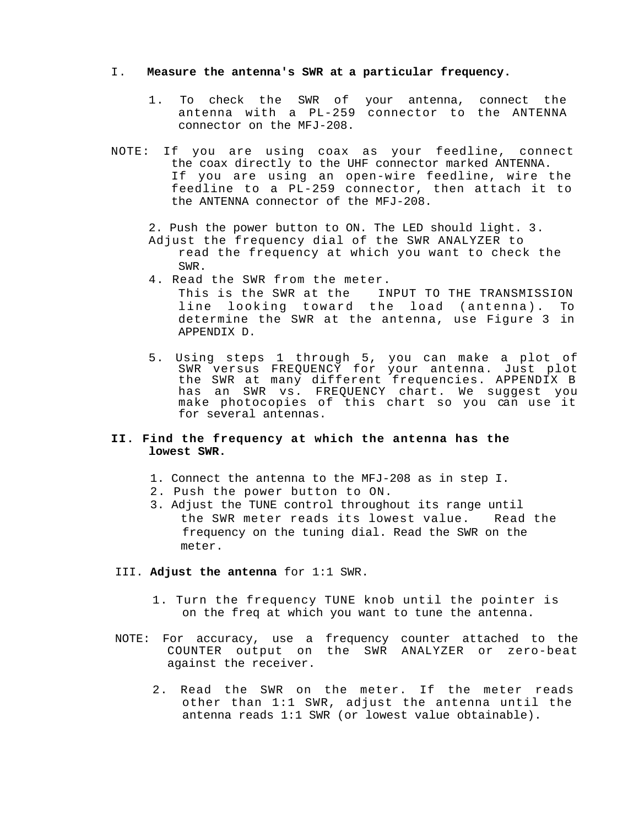### I. **Measure the antenna's SWR at a particular frequency.**

- 1. To check the SWR of your antenna, connect the antenna with a PL-259 connector to the ANTENNA connector on the MFJ-208.
- NOTE: If you are using coax as your feedline, connect the coax directly to the UHF connector marked ANTENNA. If you are using an open-wire feedline, wire the feedline to a PL-259 connector, then attach it to the ANTENNA connector of the MFJ-208.
	- 2. Push the power button to ON. The LED should light. 3.
	- Adjust the frequency dial of the SWR ANALYZER to read the frequency at which you want to check the SWR.
	- 4. Read the SWR from the meter.

This is the SWR at the INPUT TO THE TRANSMISSION line looking toward the load (antenna). To determine the SWR at the antenna, use Figure 3 in APPENDIX D.

5. Using steps 1 through 5, you can make a plot of SWR versus FREQUENCY for your antenna. Just plot the SWR at many different frequencies. APPENDIX B has an SWR vs. FREQUENCY chart. We suggest you make photocopies of this chart so you can use it for several antennas.

# **II. Find the frequency at which the antenna has the lowest SWR.**

- 1. Connect the antenna to the MFJ-208 as in step I.
- 2. Push the power button to ON.
- 3. Adjust the TUNE control throughout its range until the SWR meter reads its lowest value. Read the frequency on the tuning dial. Read the SWR on the meter.

### III. **Adjust the antenna** for 1:1 SWR.

- 1. Turn the frequency TUNE knob until the pointer is on the freq at which you want to tune the antenna.
- NOTE: For accuracy, use a frequency counter attached to the COUNTER output on the SWR ANALYZER or zero-beat against the receiver.
	- 2. Read the SWR on the meter. If the meter reads other than 1:1 SWR, adjust the antenna until the antenna reads 1:1 SWR (or lowest value obtainable).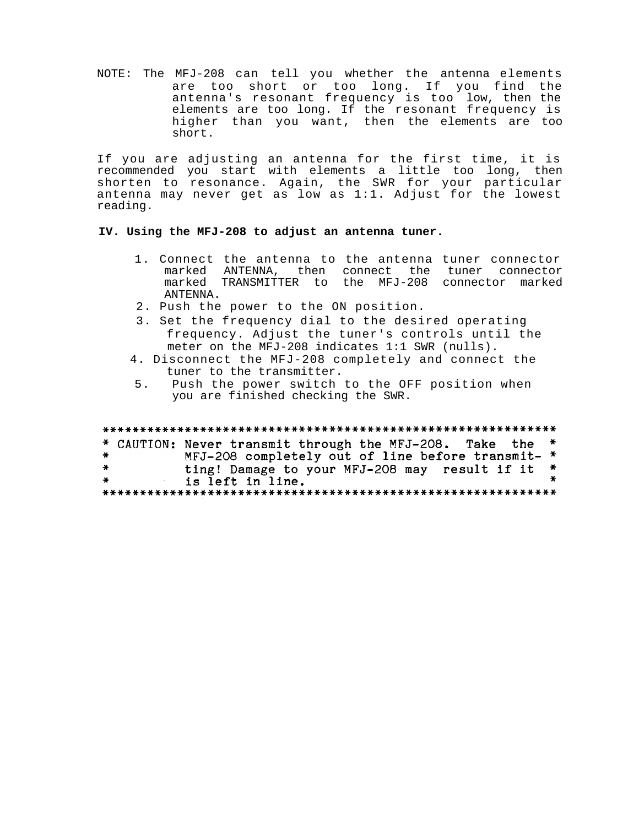NOTE: The MFJ-208 can tell you whether the antenna elements are too short or too long. If you find the antenna's resonant frequency is too low, then the elements are too long. If the resonant frequency is higher than you want, then the elements are too short.

If you are adjusting an antenna for the first time, it is recommended you start with elements a little too long, then shorten to resonance. Again, the SWR for your particular antenna may never get as low as 1:1. Adjust for the lowest reading.

## **IV. Using the MFJ-208 to adjust an antenna tuner.**

- 1. Connect the antenna to the antenna tuner connector marked ANTENNA, then connect the tuner connector marked TRANSMITTER to the MFJ-208 connector marked ANTENNA.
- 2. Push the power to the ON position.
- 3. Set the frequency dial to the desired operating frequency. Adjust the tuner's controls until the meter on the MFJ-208 indicates 1:1 SWR (nulls).
- 4. Disconnect the MFJ-208 completely and connect the tuner to the transmitter.
- 5. Push the power switch to the OFF position when you are finished checking the SWR.

#### \* CAUTION: Never transmit through the MFJ-208. Take the MFJ-208 completely out of line before transmit- \*  $\star$  $\ast$ ting! Damage to your MFJ-208 may result if it \*  $\bullet$ is left in line.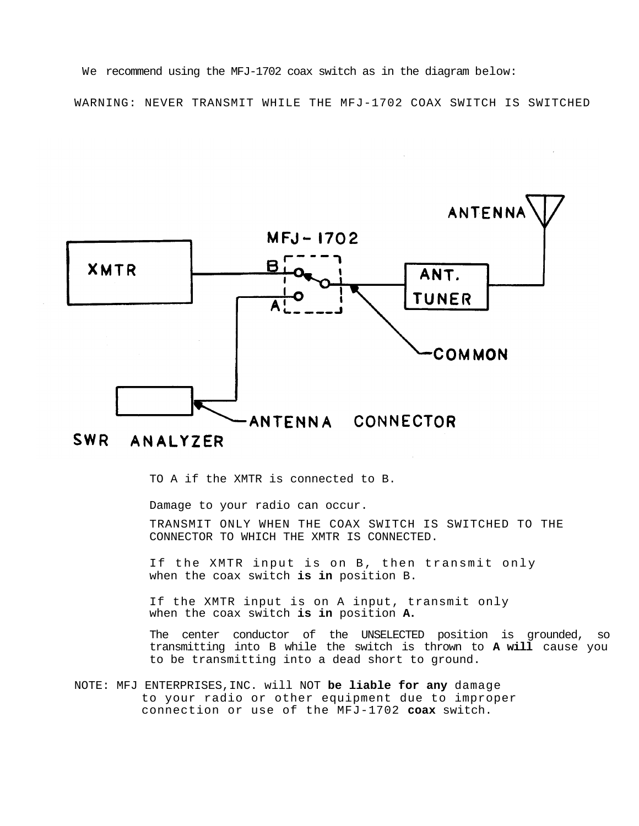We recommend using the MFJ-1702 coax switch as in the diagram below: WARNING: NEVER TRANSMIT WHILE THE MFJ-1702 COAX SWITCH IS SWITCHED



#### SWR ANALYZER

TO A if the XMTR is connected to B.

Damage to your radio can occur.

TRANSMIT ONLY WHEN THE COAX SWITCH IS SWITCHED TO THE CONNECTOR TO WHICH THE XMTR IS CONNECTED.

If the XMTR input is on B, then transmit only when the coax switch **is in** position B.

If the XMTR input is on A input, transmit only when the coax switch **is in** position **A.**

The center conductor of the UNSELECTED position is grounded, so transmitting into B while the switch is thrown to **A will** cause you to be transmitting into a dead short to ground.

NOTE: MFJ ENTERPRISES,INC. will NOT **be liable for any** damage to your radio or other equipment due to improper connection or use of the MFJ-1702 **coax** switch.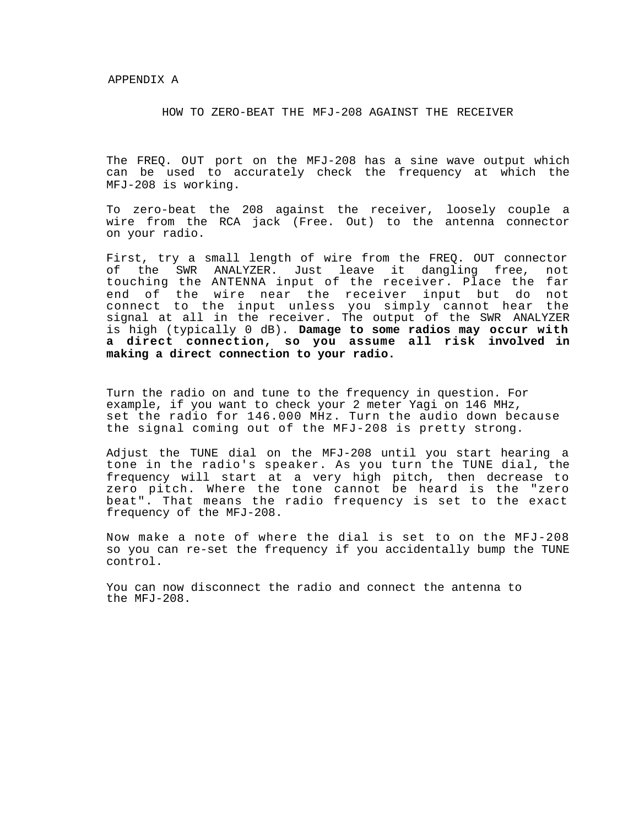#### HOW TO ZERO-BEAT THE MFJ-208 AGAINST THE RECEIVER

The FREQ. OUT port on the MFJ-208 has a sine wave output which can be used to accurately check the frequency at which the MFJ-208 is working.

To zero-beat the 208 against the receiver, loosely couple a wire from the RCA jack (Free. Out) to the antenna connector on your radio.

First, try a small length of wire from the FREQ. OUT connector of the SWR ANALYZER. Just leave it dangling free, not touching the ANTENNA input of the receiver. Place the far end of the wire near the receiver input but do not connect to the input unless you simply cannot hear the signal at all in the receiver. The output of the SWR ANALYZER is high (typically 0 dB). **Damage to some radios may occur with a direct connection, so you assume all risk involved in making a direct connection to your radio.**

Turn the radio on and tune to the frequency in question. For example, if you want to check your 2 meter Yagi on 146 MHz, set the radio for 146.000 MHz. Turn the audio down because the signal coming out of the MFJ-208 is pretty strong.

Adjust the TUNE dial on the MFJ-208 until you start hearing a tone in the radio's speaker. As you turn the TUNE dial, the frequency will start at a very high pitch, then decrease to zero pitch. Where the tone cannot be heard is the "zero beat". That means the radio frequency is set to the exact frequency of the MFJ-208.

Now make a note of where the dial is set to on the MFJ-208 so you can re-set the frequency if you accidentally bump the TUNE control.

You can now disconnect the radio and connect the antenna to the MFJ-208.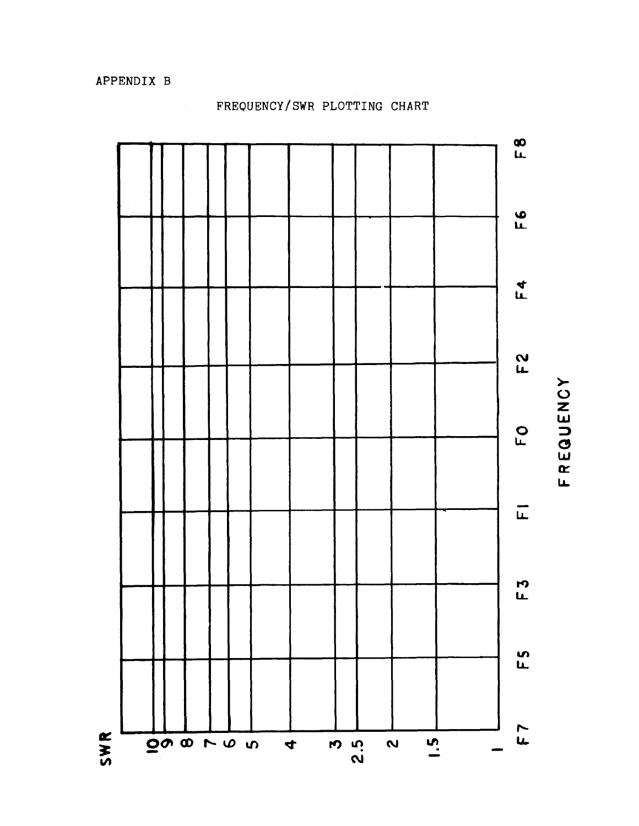

FREQUENCY

# FREQUENCY/SWR PLOTTING CHART

APPENDIX B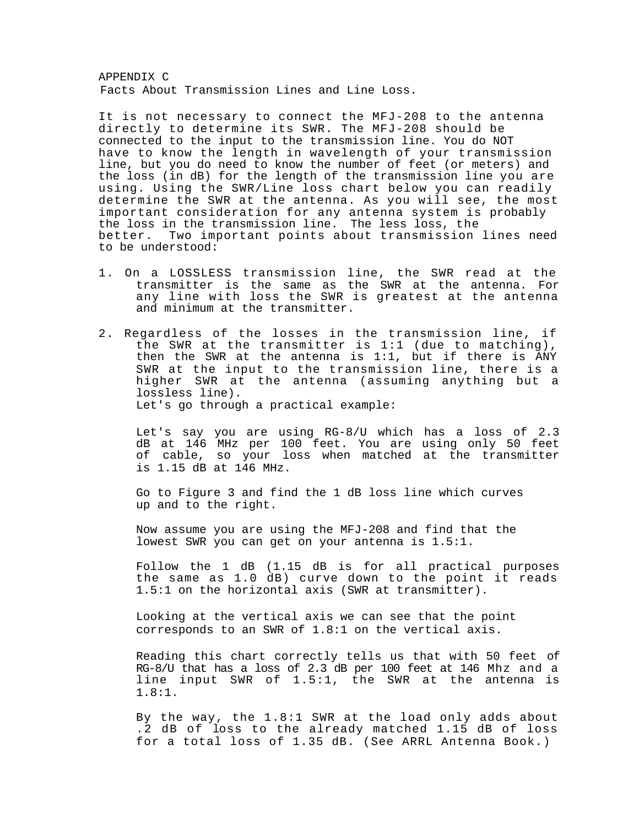APPENDIX C Facts About Transmission Lines and Line Loss.

It is not necessary to connect the MFJ-208 to the antenna directly to determine its SWR. The MFJ-208 should be connected to the input to the transmission line. You do NOT have to know the length in wavelength of your transmission line, but you do need to know the number of feet (or meters) and the loss (in dB) for the length of the transmission line you are using. Using the SWR/Line loss chart below you can readily determine the SWR at the antenna. As you will see, the most important consideration for any antenna system is probably the loss in the transmission line. The less loss, the better. Two important points about transmission lines need to be understood:

- 1. On a LOSSLESS transmission line, the SWR read at the transmitter is the same as the SWR at the antenna. For any line with loss the SWR is greatest at the antenna and minimum at the transmitter.
- 2. Regardless of the losses in the transmission line, if the SWR at the transmitter is 1:1 (due to matching), then the SWR at the antenna is 1:1, but if there is ANY SWR at the input to the transmission line, there is a higher SWR at the antenna (assuming anything but a lossless line). Let's go through a practical example:

Let's say you are using RG-8/U which has a loss of 2.3 dB at 146 MHz per 100 feet. You are using only 50 feet of cable, so your loss when matched at the transmitter is 1.15 dB at 146 MHz.

Go to Figure 3 and find the 1 dB loss line which curves up and to the right.

Now assume you are using the MFJ-208 and find that the lowest SWR you can get on your antenna is 1.5:1.

Follow the 1 dB (1.15 dB is for all practical purposes the same as 1.0 dB) curve down to the point it reads 1.5:1 on the horizontal axis (SWR at transmitter).

Looking at the vertical axis we can see that the point corresponds to an SWR of 1.8:1 on the vertical axis.

Reading this chart correctly tells us that with 50 feet of RG-8/U that has a loss of 2.3 dB per 100 feet at 146 Mhz and a line input SWR of 1.5:1, the SWR at the antenna is 1.8:1.

By the way, the 1.8:1 SWR at the load only adds about .2 dB of loss to the already matched 1.15 dB of loss for a total loss of 1.35 dB. (See ARRL Antenna Book.)